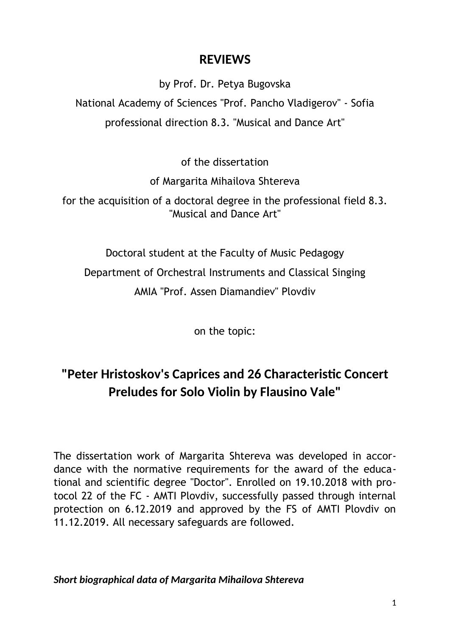## **REVIEWS**

by Prof. Dr. Petya Bugovska National Academy of Sciences "Prof. Pancho Vladigerov" - Sofia professional direction 8.3. "Musical and Dance Art"

of the dissertation

of Margarita Mihailova Shtereva

for the acquisition of a doctoral degree in the professional field 8.3. "Musical and Dance Art"

Doctoral student at the Faculty of Music Pedagogy Department of Orchestral Instruments and Classical Singing AMIA "Prof. Assen Diamandiev" Plovdiv

on the topic:

# **"Peter Hristoskov's Caprices and 26 Characteristic Concert Preludes for Solo Violin by Flausino Vale"**

The dissertation work of Margarita Shtereva was developed in accordance with the normative requirements for the award of the educational and scientific degree "Doctor". Enrolled on 19.10.2018 with protocol 22 of the FC - AMTI Plovdiv, successfully passed through internal protection on 6.12.2019 and approved by the FS of AMTI Plovdiv on 11.12.2019. All necessary safeguards are followed.

*Short biographical data of Margarita Mihailova Shtereva*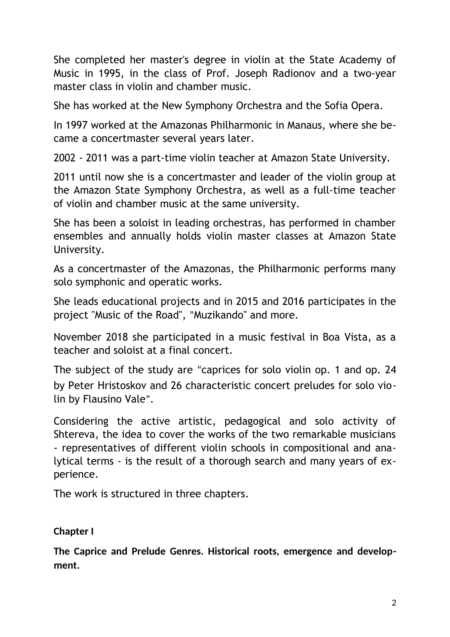She completed her master's degree in violin at the State Academy of Music in 1995, in the class of Prof. Joseph Radionov and a two-year master class in violin and chamber music.

She has worked at the New Symphony Orchestra and the Sofia Opera.

In 1997 worked at the Amazonas Philharmonic in Manaus, where she became a concertmaster several years later.

2002 - 2011 was a part-time violin teacher at Amazon State University.

2011 until now she is a concertmaster and leader of the violin group at the Amazon State Symphony Orchestra, as well as a full-time teacher of violin and chamber music at the same university.

She has been a soloist in leading orchestras, has performed in chamber ensembles and annually holds violin master classes at Amazon State University.

As a concertmaster of the Amazonas, the Philharmonic performs many solo symphonic and operatic works.

She leads educational projects and in 2015 and 2016 participates in the project "Music of the Road", "Muzikando" and more.

November 2018 she participated in a music festival in Boa Vista, as a teacher and soloist at a final concert.

The subject of the study are "caprices for solo violin op. 1 and op. 24 by Peter Hristoskov and 26 characteristic concert preludes for solo violin by Flausino Vale".

Considering the active artistic, pedagogical and solo activity of Shtereva, the idea to cover the works of the two remarkable musicians - representatives of different violin schools in compositional and analytical terms - is the result of a thorough search and many years of experience.

The work is structured in three chapters.

## **Chapter I**

**The Caprice and Prelude Genres. Historical roots, emergence and development.**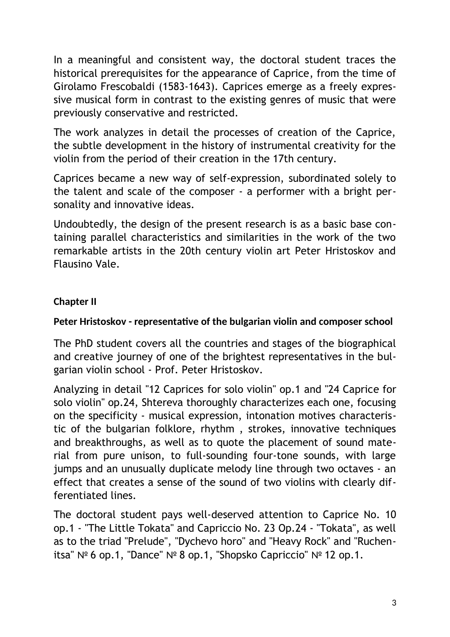In a meaningful and consistent way, the doctoral student traces the historical prerequisites for the appearance of Caprice, from the time of Girolamo Frescobaldi (1583-1643). Caprices emerge as a freely expressive musical form in contrast to the existing genres of music that were previously conservative and restricted.

The work analyzes in detail the processes of creation of the Caprice, the subtle development in the history of instrumental creativity for the violin from the period of their creation in the 17th century.

Caprices became a new way of self-expression, subordinated solely to the talent and scale of the composer - a performer with a bright personality and innovative ideas.

Undoubtedly, the design of the present research is as a basic base containing parallel characteristics and similarities in the work of the two remarkable artists in the 20th century violin art Peter Hristoskov and Flausino Vale.

### **Chapter II**

#### **Peter Hristoskov - representative of the bulgarian violin and composer school**

The PhD student covers all the countries and stages of the biographical and creative journey of one of the brightest representatives in the bulgarian violin school - Prof. Peter Hristoskov.

Analyzing in detail "12 Caprices for solo violin" op.1 and "24 Caprice for solo violin" op.24, Shtereva thoroughly characterizes each one, focusing on the specificity - musical expression, intonation motives characteristic of the bulgarian folklore, rhythm , strokes, innovative techniques and breakthroughs, as well as to quote the placement of sound material from pure unison, to full-sounding four-tone sounds, with large jumps and an unusually duplicate melody line through two octaves - an effect that creates a sense of the sound of two violins with clearly differentiated lines.

The doctoral student pays well-deserved attention to Caprice No. 10 op.1 - "The Little Tokata" and Capriccio No. 23 Op.24 - "Tokata", as well as to the triad "Prelude", "Dychevo horo" and "Heavy Rock" and "Ruchenitsa" № 6 op.1, "Dance" № 8 op.1, "Shopsko Capriccio" № 12 op.1.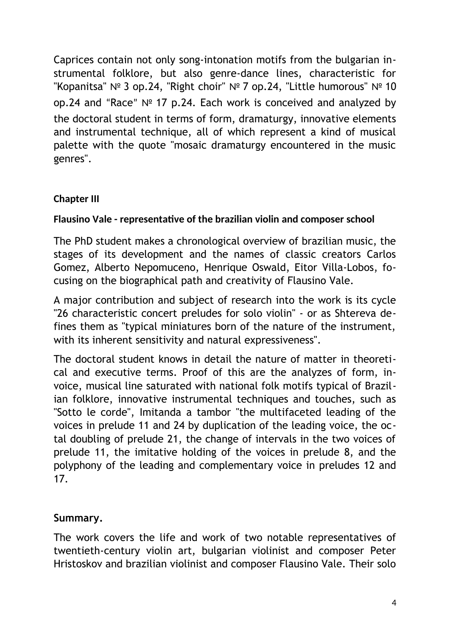Caprices contain not only song-intonation motifs from the bulgarian instrumental folklore, but also genre-dance lines, characteristic for "Kopanitsa" № 3 op.24, "Right choir" № 7 op.24, "Little humorous" № 10 op.24 and "Race" № 17 p.24. Each work is conceived and analyzed by the doctoral student in terms of form, dramaturgy, innovative elements and instrumental technique, all of which represent a kind of musical palette with the quote "mosaic dramaturgy encountered in the music genres".

## **Chapter III**

## **Flausino Vale - representative of the brazilian violin and composer school**

The PhD student makes a chronological overview of brazilian music, the stages of its development and the names of classic creators Carlos Gomez, Alberto Nepomuceno, Henrique Oswald, Eitor Villa-Lobos, focusing on the biographical path and creativity of Flausino Vale.

A major contribution and subject of research into the work is its cycle "26 characteristic concert preludes for solo violin" - or as Shtereva defines them as "typical miniatures born of the nature of the instrument, with its inherent sensitivity and natural expressiveness".

The doctoral student knows in detail the nature of matter in theoretical and executive terms. Proof of this are the analyzes of form, invoice, musical line saturated with national folk motifs typical of Brazilian folklore, innovative instrumental techniques and touches, such as "Sotto le corde", Imitanda a tambor "the multifaceted leading of the voices in prelude 11 and 24 by duplication of the leading voice, the octal doubling of prelude 21, the change of intervals in the two voices of prelude 11, the imitative holding of the voices in prelude 8, and the polyphony of the leading and complementary voice in preludes 12 and 17.

## **Summary.**

The work covers the life and work of two notable representatives of twentieth-century violin art, bulgarian violinist and composer Peter Hristoskov and brazilian violinist and composer Flausino Vale. Their solo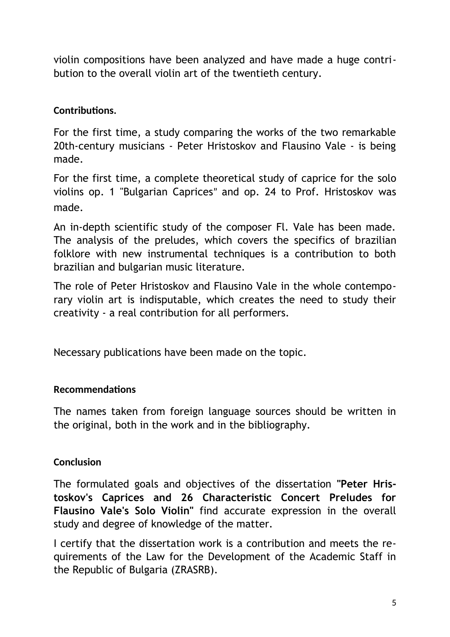violin compositions have been analyzed and have made a huge contribution to the overall violin art of the twentieth century.

#### **Contributions.**

For the first time, a study comparing the works of the two remarkable 20th-century musicians - Peter Hristoskov and Flausino Vale - is being made.

For the first time, a complete theoretical study of caprice for the solo violins op. 1 "Bulgarian Caprices" and op. 24 to Prof. Hristoskov was made.

An in-depth scientific study of the composer Fl. Vale has been made. The analysis of the preludes, which covers the specifics of brazilian folklore with new instrumental techniques is a contribution to both brazilian and bulgarian music literature.

The role of Peter Hristoskov and Flausino Vale in the whole contemporary violin art is indisputable, which creates the need to study their creativity - a real contribution for all performers.

Necessary publications have been made on the topic.

#### **Recommendations**

The names taken from foreign language sources should be written in the original, both in the work and in the bibliography.

#### **Conclusion**

The formulated goals and objectives of the dissertation **"Peter Hristoskov's Caprices and 26 Characteristic Concert Preludes for Flausino Vale's Solo Violin"** find accurate expression in the overall study and degree of knowledge of the matter.

I certify that the dissertation work is a contribution and meets the requirements of the Law for the Development of the Academic Staff in the Republic of Bulgaria (ZRASRB).